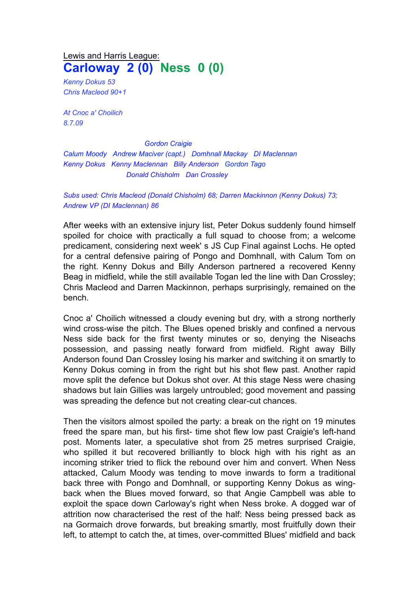## Lewis and Harris League: **Carloway 2 (0) Ness 0 (0)**

*Kenny Dokus 53 Chris Macleod 90+1*

*At Cnoc a' Choilich 8.7.09* 

*Gordon Craigie Calum Moody Andrew Maciver (capt.) Domhnall Mackay DI Maclennan Kenny Dokus Kenny Maclennan Billy Anderson Gordon Tago Donald Chisholm Dan Crossley*

## *Subs used: Chris Macleod (Donald Chisholm) 68; Darren Mackinnon (Kenny Dokus) 73; Andrew VP (DI Maclennan) 86*

After weeks with an extensive injury list, Peter Dokus suddenly found himself spoiled for choice with practically a full squad to choose from; a welcome predicament, considering next week' s JS Cup Final against Lochs. He opted for a central defensive pairing of Pongo and Domhnall, with Calum Tom on the right. Kenny Dokus and Billy Anderson partnered a recovered Kenny Beag in midfield, while the still available Togan led the line with Dan Crossley; Chris Macleod and Darren Mackinnon, perhaps surprisingly, remained on the bench.

Cnoc a' Choilich witnessed a cloudy evening but dry, with a strong northerly wind cross-wise the pitch. The Blues opened briskly and confined a nervous Ness side back for the first twenty minutes or so, denying the Niseachs possession, and passing neatly forward from midfield. Right away Billy Anderson found Dan Crossley losing his marker and switching it on smartly to Kenny Dokus coming in from the right but his shot flew past. Another rapid move split the defence but Dokus shot over. At this stage Ness were chasing shadows but Iain Gillies was largely untroubled; good movement and passing was spreading the defence but not creating clear-cut chances.

Then the visitors almost spoiled the party: a break on the right on 19 minutes freed the spare man, but his first- time shot flew low past Craigie's left-hand post. Moments later, a speculative shot from 25 metres surprised Craigie, who spilled it but recovered brilliantly to block high with his right as an incoming striker tried to flick the rebound over him and convert. When Ness attacked, Calum Moody was tending to move inwards to form a traditional back three with Pongo and Domhnall, or supporting Kenny Dokus as wingback when the Blues moved forward, so that Angie Campbell was able to exploit the space down Carloway's right when Ness broke. A dogged war of attrition now characterised the rest of the half: Ness being pressed back as na Gormaich drove forwards, but breaking smartly, most fruitfully down their left, to attempt to catch the, at times, over-committed Blues' midfield and back